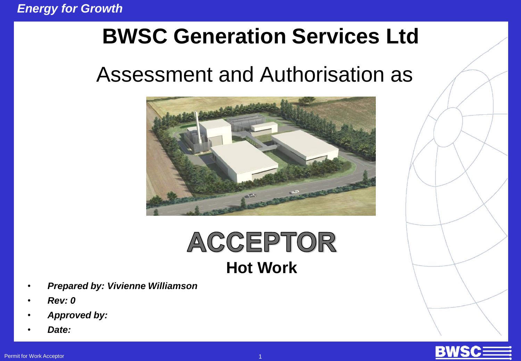### **BWSC Generation Services Ltd**

### Assessment and Authorisation as



## ACCEPTOR **Hot Work**

- *Prepared by: Vivienne Williamson*
- *Rev: 0*
- *Approved by:*
- *Date:*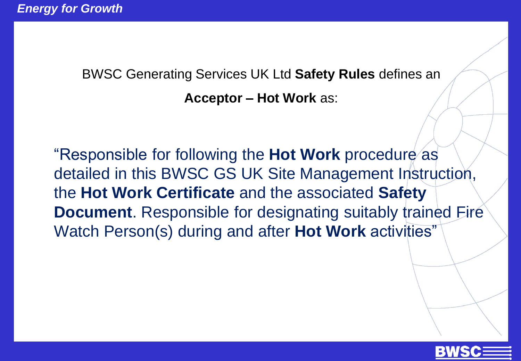BWSC Generating Services UK Ltd **Safety Rules** defines an

**Acceptor – Hot Work** as:

"Responsible for following the **Hot Work** procedure as detailed in this BWSC GS UK Site Management Instruction, the **Hot Work Certificate** and the associated **Safety Document**. Responsible for designating suitably trained Fire Watch Person(s) during and after **Hot Work** activities"

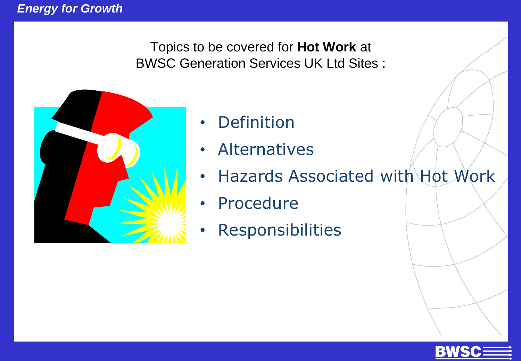Topics to be covered for **Hot Work** at BWSC Generation Services UK Ltd Sites :



- **Definition**
- Alternatives
- Hazards Associated with Hot Work
- Procedure
- **Responsibilities**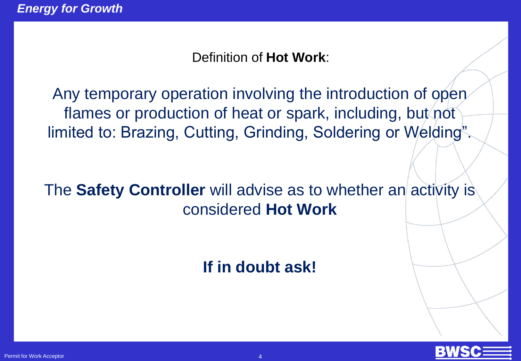Definition of **Hot Work**:

Any temporary operation involving the introduction of open flames or production of heat or spark, including, but not limited to: Brazing, Cutting, Grinding, Soldering or Welding".

The **Safety Controller** will advise as to whether an activity is considered **Hot Work** 

**If in doubt ask!**

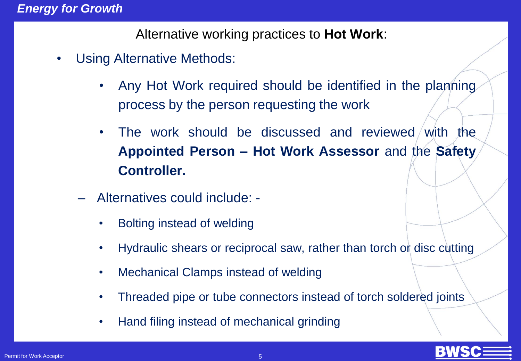#### *Energy for Growth*

Alternative working practices to **Hot Work**:

- Using Alternative Methods:
	- Any Hot Work required should be identified in the planning process by the person requesting the work
	- The work should be discussed and reviewed/with the **Appointed Person – Hot Work Assessor** and the **Safety Controller.**
	- Alternatives could include:
		- Bolting instead of welding
		- Hydraulic shears or reciprocal saw, rather than torch or disc cutting
		- Mechanical Clamps instead of welding
		- Threaded pipe or tube connectors instead of torch soldered joints
		- Hand filing instead of mechanical grinding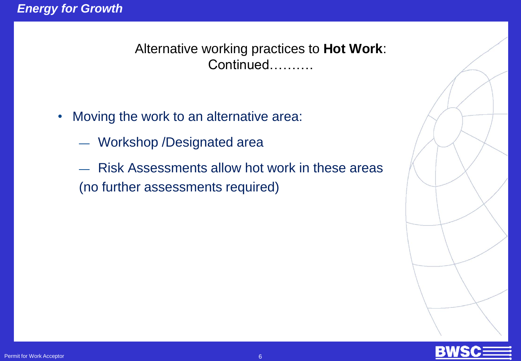Alternative working practices to **Hot Work**: Continued……….

- Moving the work to an alternative area:
	- Workshop /Designated area
	- Risk Assessments allow hot work in these areas (no further assessments required)

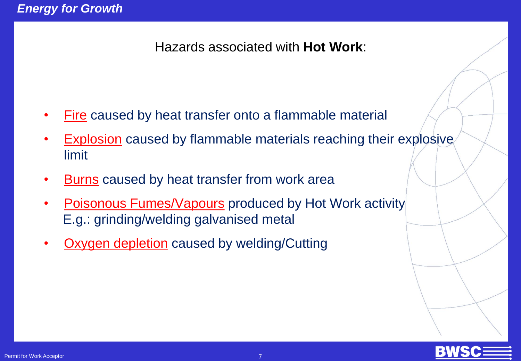#### Hazards associated with **Hot Work**:

- Fire caused by heat transfer onto a flammable material
- **Explosion** caused by flammable materials reaching their explosive limit
- Burns caused by heat transfer from work area
- **Poisonous Fumes/Vapours produced by Hot Work activity** E.g.: grinding/welding galvanised metal
- **Oxygen depletion** caused by welding/Cutting

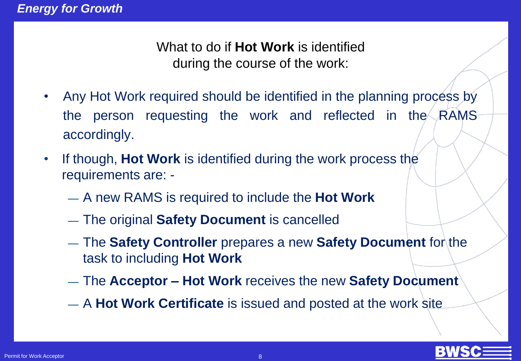What to do if **Hot Work** is identified during the course of the work:

- Any Hot Work required should be identified in the planning process by the person requesting the work and reflected in the RAMS accordingly.
- If though, **Hot Work** is identified during the work process the requirements are: -
	- A new RAMS is required to include the **Hot Work**
	- The original **Safety Document** is cancelled
	- The **Safety Controller** prepares a new **Safety Document** for the task to including **Hot Work**
	- The **Acceptor – Hot Work** receives the new **Safety Document**
	- A **Hot Work Certificate** is issued and posted at the work site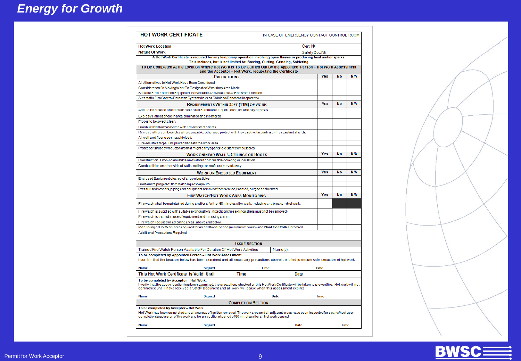| <b>Hot Work Location</b>                                                                                                                                                                                                                                                                                    |                           |          | Cert No |            |           |     |
|-------------------------------------------------------------------------------------------------------------------------------------------------------------------------------------------------------------------------------------------------------------------------------------------------------------|---------------------------|----------|---------|------------|-----------|-----|
| <b>Nature Of Work</b><br>Safety Doc Nº                                                                                                                                                                                                                                                                      |                           |          |         |            |           |     |
| A Hot Work Certificate is required for any temporary operation involving open flames or producing heat and/or sparks.                                                                                                                                                                                       |                           |          |         |            |           |     |
| This includes, but is not limited to: Brazing, Cutting, Grinding, Soldering                                                                                                                                                                                                                                 |                           |          |         |            |           |     |
| To Be Completed At the Location Where Hot Work is To Be Carried Out By the Appointed Person - Hot Work Assessment<br>and the Acceptor - Hot Work, requesting the Certificate                                                                                                                                |                           |          |         |            |           |     |
| <b>PRECAUTIONS</b>                                                                                                                                                                                                                                                                                          |                           |          |         | Yes        | N٥        | N/A |
| All Alternatives to Hot Work Have Been Considered                                                                                                                                                                                                                                                           |                           |          |         |            |           |     |
| Consideration Of MovingWork To Designated Workshop Area Made                                                                                                                                                                                                                                                |                           |          |         |            |           |     |
| Suitable Fire Protection Equipment Serviceable And Available At Hot Work Location                                                                                                                                                                                                                           |                           |          |         |            |           |     |
| Automatic Fire Control/Detection Systems In Area Shielded/Rendered Inoperative                                                                                                                                                                                                                              |                           |          |         |            |           |     |
| REQUIREMENTS WITHIN 35FT (11M) OF WORK                                                                                                                                                                                                                                                                      |                           |          |         | YES        | <b>No</b> | N/A |
| Area to be cleared and remain clear of all Flammable Liquids, dust, lint and oily deposits                                                                                                                                                                                                                  |                           |          |         |            |           |     |
| Explosive atmosphere in area eliminated and monitored.                                                                                                                                                                                                                                                      |                           |          |         |            |           |     |
| Floors to be swept clean.                                                                                                                                                                                                                                                                                   |                           |          |         |            |           |     |
| Combustible floors covered with fire-resistant sheets.                                                                                                                                                                                                                                                      |                           |          |         |            |           |     |
| Remove other combustibles where possible, otherwise protect with fire-resistive tarpaulins or fire resistant shields.                                                                                                                                                                                       |                           |          |         |            |           |     |
| All wall and floor openings shielded.                                                                                                                                                                                                                                                                       |                           |          |         |            |           |     |
| Fire-resistive tarpaulins placed beneath the work area.                                                                                                                                                                                                                                                     |                           |          |         |            |           |     |
| Protect or shut down ducts/fans that might carry sparks to distant combustibles.                                                                                                                                                                                                                            |                           |          |         |            |           |     |
| <b>WORK ON/NEAR WALLS, CEILINGS OR ROOFS</b>                                                                                                                                                                                                                                                                |                           |          |         | Yes        | No        | N/A |
| Construction is non-combustible and without combustible covering or insulation.                                                                                                                                                                                                                             |                           |          |         |            |           |     |
| Combustibles on other side of walls, ceilings or roofs are moved away.                                                                                                                                                                                                                                      |                           |          |         |            |           |     |
|                                                                                                                                                                                                                                                                                                             |                           |          |         | Yes        | <b>No</b> | N/A |
| <b>WORK ON ENCLOSED EQUIPMENT</b>                                                                                                                                                                                                                                                                           |                           |          |         |            |           |     |
| Enclosed Equipment cleared of all combustibles                                                                                                                                                                                                                                                              |                           |          |         |            |           |     |
| Containers purged of flammable liquids/vapours                                                                                                                                                                                                                                                              |                           |          |         |            |           |     |
| Pressurised vessels, piping and equipment removed from service, isolated, purged and vented.                                                                                                                                                                                                                |                           |          |         |            |           |     |
| <b>FIRE WATCH/HOT WORK AREA MONITORING</b>                                                                                                                                                                                                                                                                  |                           |          |         | <b>Yes</b> | No        | N/A |
| Fire watch shall be maintained during and for a further 60 minutes after work, including any breaks in hot work.                                                                                                                                                                                            |                           |          |         |            |           |     |
| Fire watch is supplied with suitable extinguishers. (fixed point fire extinguishers must not be removed)                                                                                                                                                                                                    |                           |          |         |            |           |     |
| Fire watch is trained in use of equipment and in raising alarm.                                                                                                                                                                                                                                             |                           |          |         |            |           |     |
| Fire watch required in adjoining areas, above and below.                                                                                                                                                                                                                                                    |                           |          |         |            |           |     |
| Monitoring of Hot Work area required for an additional period (minimum 3 hours) and Plant Controller Informed                                                                                                                                                                                               |                           |          |         |            |           |     |
| Additional Precautions Required:                                                                                                                                                                                                                                                                            |                           |          |         |            |           |     |
|                                                                                                                                                                                                                                                                                                             | <b>ISSUE SECTION</b>      |          |         |            |           |     |
| Trained Fire Watch Person Available For Duration Of Hot Work Activities                                                                                                                                                                                                                                     |                           | Name(s): |         |            |           |     |
| To be completed by Appointed Person - Hot Work Assessment.<br>I confirm that the location below has been examined and all necessary precautions above identified to ensure safe execution of hot work                                                                                                       |                           |          |         |            |           |     |
| <b>Name</b><br><b>Signed</b>                                                                                                                                                                                                                                                                                | <b>Time</b>               |          |         | Date       |           |     |
| This Hot Work Certificate Is Valid Until<br><b>Time</b>                                                                                                                                                                                                                                                     |                           | Date     |         |            |           |     |
| To be completed by Acceptor - Hot Work.<br>I verify that the above location has been gxamined, the precautions checked on this HotWork Certificate will be taken to preventfire. Hot work will not<br>commence until I have received a Safety Document and all work will cease when this assessment expires |                           |          |         |            |           |     |
| <b>Name</b><br><b>Signed</b>                                                                                                                                                                                                                                                                                |                           | Date     |         | Time       |           |     |
|                                                                                                                                                                                                                                                                                                             |                           |          |         |            |           |     |
| To be completed by Acceptor-Hot Work.                                                                                                                                                                                                                                                                       | <b>COMPLETION SECTION</b> |          |         |            |           |     |
| Hot Work has been completed and all sources of ignition removed. The work area and all adjacent areas have been inspected for sparks/heat upon                                                                                                                                                              |                           |          |         |            |           |     |
| completion/suspension of the work and for an additional period of 60 minutes after all hot work ceased                                                                                                                                                                                                      |                           |          |         |            |           |     |

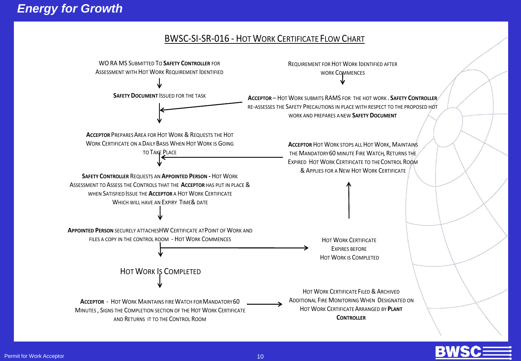#### BWSC-SI-SR-016 - HOT WORK CERTIFICATE FLOW CHART



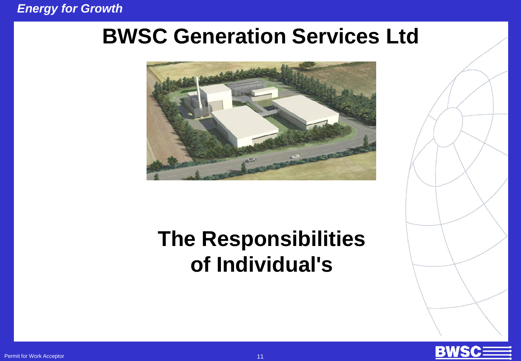#### *Energy for Growth*

### **BWSC Generation Services Ltd**



### **The Responsibilities of Individual's**

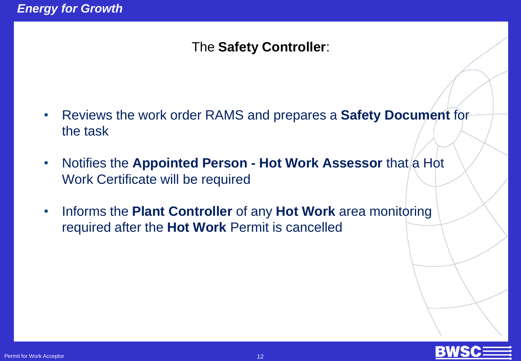### The **Safety Controller**:

- Reviews the work order RAMS and prepares a **Safety Document** for the task
- Notifies the **Appointed Person Hot Work Assessor** that a Hot Work Certificate will be required
- Informs the **Plant Controller** of any **Hot Work** area monitoring required after the **Hot Work** Permit is cancelled

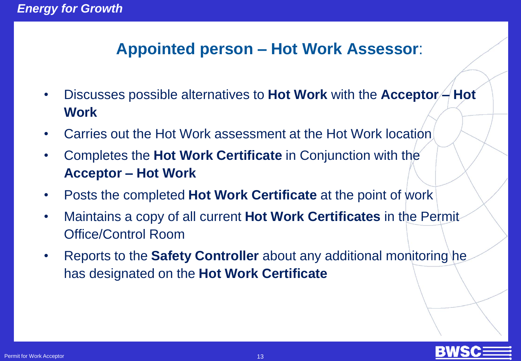### **Appointed person – Hot Work Assessor**:

- Discusses possible alternatives to **Hot Work** with the **Acceptor – Hot Work**
- Carries out the Hot Work assessment at the Hot Work location
- Completes the **Hot Work Certificate** in Conjunction with the **Acceptor – Hot Work**
- Posts the completed **Hot Work Certificate** at the point of work
- Maintains a copy of all current **Hot Work Certificates** in the Permit Office/Control Room
- Reports to the **Safety Controller** about any additional monitoring he has designated on the **Hot Work Certificate**

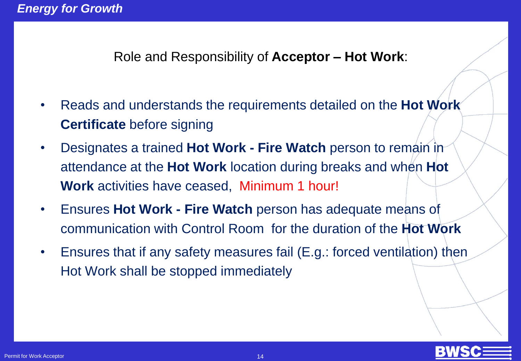Role and Responsibility of **Acceptor – Hot Work**:

- Reads and understands the requirements detailed on the **Hot Work Certificate** before signing
- Designates a trained **Hot Work - Fire Watch** person to remain in attendance at the **Hot Work** location during breaks and when **Hot Work** activities have ceased, Minimum 1 hour!
- Ensures **Hot Work - Fire Watch** person has adequate means of communication with Control Room for the duration of the **Hot Work**
- Ensures that if any safety measures fail (E.g.: forced ventilation) then Hot Work shall be stopped immediately

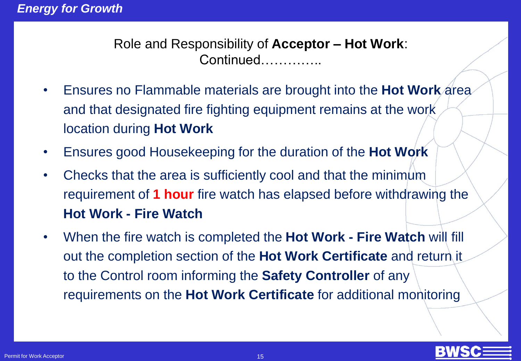Role and Responsibility of **Acceptor – Hot Work**: Continued…………..

- Ensures no Flammable materials are brought into the **Hot Work** area and that designated fire fighting equipment remains at the work location during **Hot Work**
- Ensures good Housekeeping for the duration of the **Hot Work**
- Checks that the area is sufficiently cool and that the minimum requirement of **1 hour** fire watch has elapsed before withdrawing the **Hot Work - Fire Watch**
- When the fire watch is completed the **Hot Work - Fire Watch** will fill out the completion section of the **Hot Work Certificate** and return it to the Control room informing the **Safety Controller** of any requirements on the **Hot Work Certificate** for additional monitoring

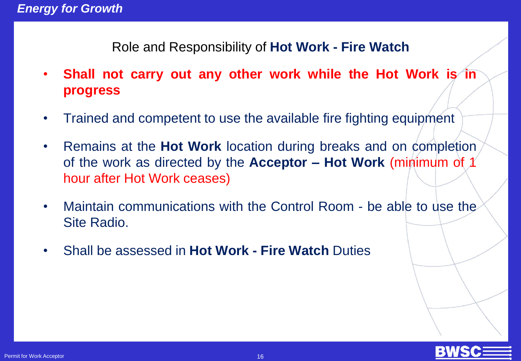Role and Responsibility of **Hot Work - Fire Watch** 

- **Shall not carry out any other work while the Hot Work is in progress**
- Trained and competent to use the available fire fighting equipment
- Remains at the **Hot Work** location during breaks and on completion of the work as directed by the **Acceptor – Hot Work** (minimum of 1 hour after Hot Work ceases)
- Maintain communications with the Control Room be able to use the Site Radio.
- Shall be assessed in **Hot Work - Fire Watch** Duties

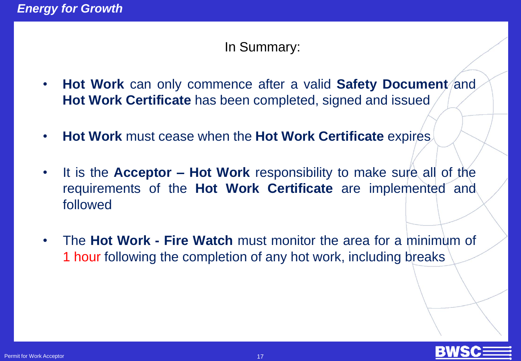#### In Summary:

- **Hot Work** can only commence after a valid Safety Document/and **Hot Work Certificate** has been completed, signed and issued
- **Hot Work** must cease when the **Hot Work Certificate** expires
- It is the **Acceptor – Hot Work** responsibility to make sure all of the requirements of the **Hot Work Certificate** are implemented and followed
- The **Hot Work - Fire Watch** must monitor the area for a minimum of 1 hour following the completion of any hot work, including breaks

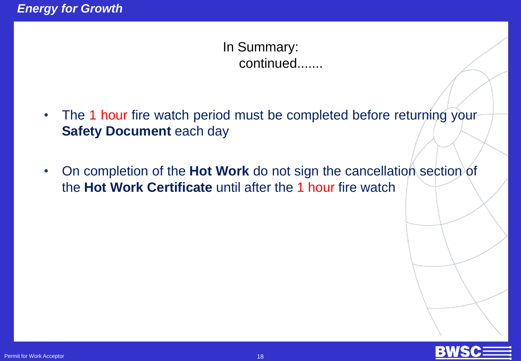In Summary: continued.......

- The 1 hour fire watch period must be completed before returning your **Safety Document** each day
- On completion of the **Hot Work** do not sign the cancellation section of the **Hot Work Certificate** until after the 1 hour fire watch